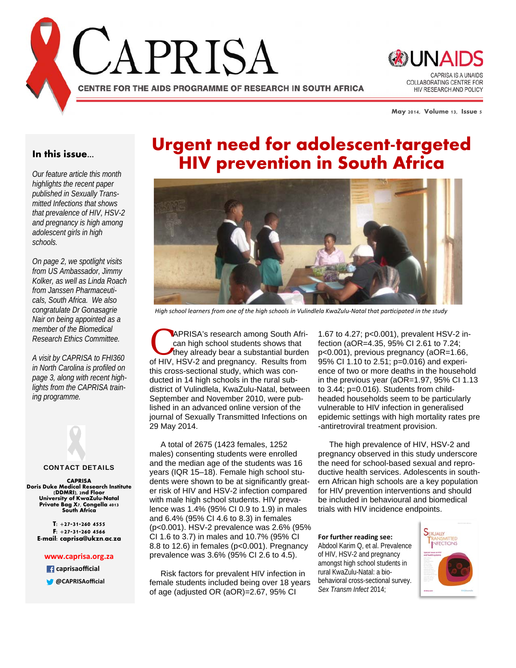



**May 2014, Volume 13, Issue 5** 

### **In this issue...**

*Our feature article this month highlights the recent paper published in Sexually Transmitted Infections that shows that prevalence of HIV, HSV-2 and pregnancy is high among adolescent girls in high schools.* 

*On page 2, we spotlight visits from US Ambassador, Jimmy Kolker, as well as Linda Roach from Janssen Pharmaceuticals, South Africa. We also congratulate Dr Gonasagrie Nair on being appointed as a member of the Biomedical Research Ethics Committee.* 

*A visit by CAPRISA to FHI360 in North Carolina is profiled on page 3, along with recent highlights from the CAPRISA training programme.*



### CONTACT DETAILS

**CAPRISA Doris Duke Medical Research Institute (DDMRI), 2nd Floor University of KwaZulu-Natal Private Bag X7, Congella 4013 South Africa** 

**T: +27-31-260 4555 F: +27-31-260 4566 E-mail: caprisa@ukzn.ac.za** 

### **www.caprisa.org.za**

 **caprisaofficial**

**@CAPRISAofficial**

# **Urgent need for adolescent-targeted HIV prevention in South Africa**



High school learners from one of the high schools in Vulindlela KwaZulu-Natal that participated in the study

**CAPRISA's research among South African high school students shows that**<br>they already bear a substantial burden<br>of HIV HIS (2 and pear a substantial burden can high school students shows that of HIV, HSV-2 and pregnancy. Results from this cross-sectional study, which was conducted in 14 high schools in the rural subdistrict of Vulindlela, KwaZulu-Natal, between September and November 2010, were published in an advanced online version of the journal of Sexually Transmitted Infections on 29 May 2014.

 A total of 2675 (1423 females, 1252 males) consenting students were enrolled and the median age of the students was 16 years (IQR 15–18). Female high school students were shown to be at significantly greater risk of HIV and HSV-2 infection compared with male high school students. HIV prevalence was 1.4% (95% CI 0.9 to 1.9) in males and 6.4% (95% CI 4.6 to 8.3) in females (p<0.001). HSV-2 prevalence was 2.6% (95% CI 1.6 to 3.7) in males and 10.7% (95% CI 8.8 to 12.6) in females (p<0.001). Pregnancy prevalence was 3.6% (95% CI 2.6 to 4.5).

 Risk factors for prevalent HIV infection in female students included being over 18 years of age (adjusted OR (aOR)=2.67, 95% CI

1.67 to 4.27; p<0.001), prevalent HSV-2 infection (aOR=4.35, 95% CI 2.61 to 7.24; p<0.001), previous pregnancy (aOR=1.66, 95% CI 1.10 to 2.51; p=0.016) and experience of two or more deaths in the household in the previous year (aOR=1.97, 95% CI 1.13 to 3.44; p=0.016). Students from childheaded households seem to be particularly vulnerable to HIV infection in generalised epidemic settings with high mortality rates pre -antiretroviral treatment provision.

 The high prevalence of HIV, HSV-2 and pregnancy observed in this study underscore the need for school-based sexual and reproductive health services. Adolescents in southern African high schools are a key population for HIV prevention interventions and should be included in behavioural and biomedical trials with HIV incidence endpoints.

### **For further reading see:**

Abdool Karim Q, et al. Prevalence of HIV, HSV-2 and pregnancy amongst high school students in rural KwaZulu-Natal: a biobehavioral cross-sectional survey. *Sex Transm Infect* 2014;

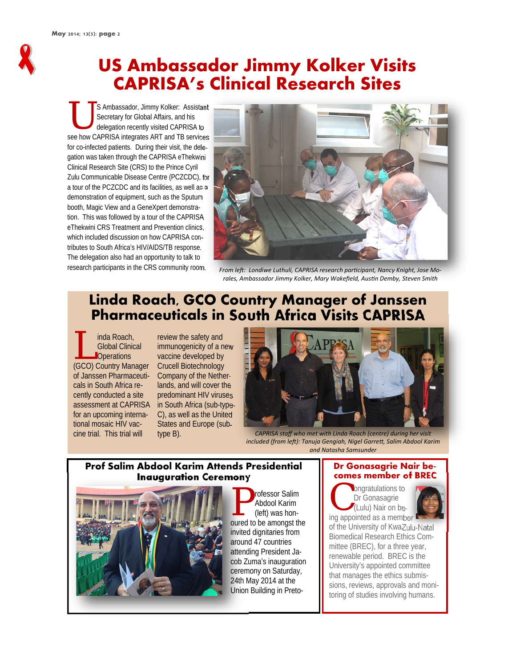# **US Ambassador Jimmy Kolker Visits CAPRISA's Clinical Research Sites**

S Ambassador, Jimmy Kolker: Assistant Secretary for Global Affairs, and his delegation recently visited CAPRISA to see how CAPRISA integrates ART and TB services for co-infected patients. During their visit, the delegation was taken through the CAPRISA eThekwini Clinical Research Site (CRS) to the Prince Cyril Zulu Communicable Disease Centre (PCZCDC), for a tour of the PCZCDC and its facilities, as well as a demonstration of equipment, such as the Sputum booth, Magic View and a GeneXpert demonstration. This was followed by a tour of the CAPRISA eThekwini CRS Treatment and Prevention clinics, which included discussion on how CAPRISA contributes to South Africa's HIV/AIDS/TB response. The delegation also had an opportunity to talk to



research participants in the CRS community room. From left: Londiwe Luthuli, CAPRISA research participant, Nancy Knight, Jose Mo*rales, Ambassador Jimmy Kolker, Mary Wakefield, AusƟn Demby, Steven Smith*

## **Linda Roach, GCO Country Manager of Janssen Pharmaceuticals in South Africa Visits CAPRISA**

Inda Roach,<br>
Global Clinical<br>
Operations<br>
GCO) Country Manager Global Clinical **Operations** of Janssen Pharmaceuticals in South Africa recently conducted a site assessment at CAPRISA for an upcoming international mosaic HIV vaccine trial. This trial will

review the safety and immunogenicity of a new vaccine developed by Crucell Biotechnology Company of the Netherlands, and will cover the predominant HIV viruses in South Africa (sub-type-C), as well as the United States and Europe (subtype B).



*CAPRISA staff who met with Linda Roach (centre) during her visit included (from leŌ): Tanuja Gengiah, Nigel GarreƩ, Salim Abdool Karim and Natasha Samsunder* 

### **Prof Salim Abdool Karim Attends Presidential Inauguration Ceremony**



**P** rofessor Salim<br>
(left) was hon-<br>
aured to be amongst the Abdool Karim oured to be amongst the invited dignitaries from around 47 countries attending President Jacob Zuma's inauguration ceremony on Saturday, 24th May 2014 at the Union Building in Preto-

### **Dr Gonasagrie Nair becomes member of BREC**

ongratulations to Dr Gonasagrie (Lulu) Nair on being appointed as a member



of the University of KwaZulu-Natal Biomedical Research Ethics Committee (BREC), for a three year, renewable period. BREC is the University's appointed committee that manages the ethics submissions, reviews, approvals and monitoring of studies involving humans.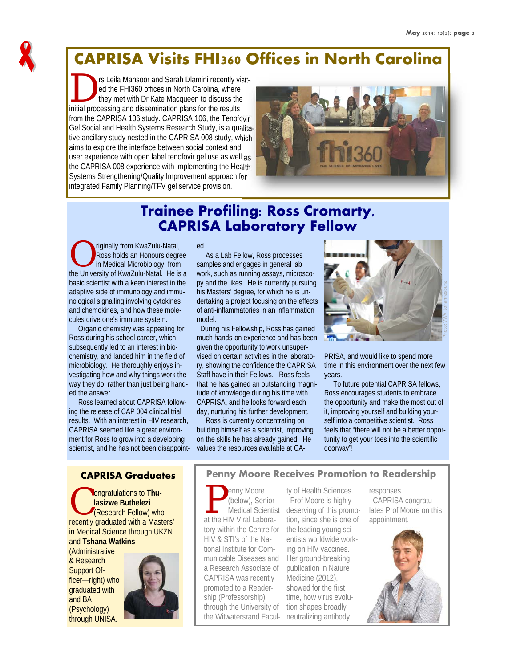# **CAPRISA Visits FHI360 Offices in North Carolina**

rs Leila Mansoor and Sarah Dlamini recently visited the FHI360 offices in North Carolina, where they met with Dr Kate Macqueen to discuss the initial processing and dissemination plans for the results from the CAPRISA 106 study. CAPRISA 106, the Tenofovir Gel Social and Health Systems Research Study, is a qualitative ancillary study nested in the CAPRISA 008 study, which aims to explore the interface between social context and user experience with open label tenofovir gel use as well as the CAPRISA 008 experience with implementing the Health Systems Strengthening/Quality Improvement approach for integrated Family Planning/TFV gel service provision.



## **Trainee Profiling: Ross Cromarty, CAPRISA Laboratory Fellow**

riginally from KwaZulu-Natal,<br>
in Medical Microbiology, from<br>
the University of KwaZulu Natal, Usis Ross holds an Honours degree the University of KwaZulu-Natal. He is a basic scientist with a keen interest in the adaptive side of immunology and immunological signalling involving cytokines and chemokines, and how these molecules drive one's immune system.

 Organic chemistry was appealing for Ross during his school career, which subsequently led to an interest in biochemistry, and landed him in the field of microbiology. He thoroughly enjoys investigating how and why things work the way they do, rather than just being handed the answer.

 Ross learned about CAPRISA following the release of CAP 004 clinical trial results. With an interest in HIV research, CAPRISA seemed like a great environment for Ross to grow into a developing scientist, and he has not been disappoint-

ed.

 As a Lab Fellow, Ross processes samples and engages in general lab work, such as running assays, microscopy and the likes. He is currently pursuing his Masters' degree, for which he is undertaking a project focusing on the effects of anti-inflammatories in an inflammation model.

 During his Fellowship, Ross has gained much hands-on experience and has been given the opportunity to work unsupervised on certain activities in the laboratory, showing the confidence the CAPRISA Staff have in their Fellows. Ross feels that he has gained an outstanding magnitude of knowledge during his time with CAPRISA, and he looks forward each day, nurturing his further development.

 Ross is currently concentrating on building himself as a scientist, improving on the skills he has already gained. He values the resources available at CA-



PRISA, and would like to spend more time in this environment over the next few years.

 To future potential CAPRISA fellows, Ross encourages students to embrace the opportunity and make the most out of it, improving yourself and building yourself into a competitive scientist. Ross feels that "there will not be a better opportunity to get your toes into the scientific doorway"!

C ongratulations to **Thulasizwe Buthelezi**  (Research Fellow) who recently graduated with a Masters' in Medical Science through UKZN and **Tshana Watkins** 

(Administrative & Research Support Officer—right) who graduated with and BA (Psychology) through UNISA.



### **CAPRISA Graduates | Penny Moore Receives Promotion to Readership**

**P** enny Moore<br>
(below), Senior<br>
Medical Scientis<br>
at the HIV Viral Labora-(below), Senior tory within the Centre for HIV & STI's of the National Institute for Communicable Diseases and a Research Associate of CAPRISA was recently promoted to a Readership (Professorship) through the University of the Witwatersrand Facul-neutralizing antibody

Medical Scientist deserving of this promoty of Health Sciences. Prof Moore is highly tion, since she is one of the leading young scientists worldwide working on HIV vaccines. Her ground-breaking publication in Nature Medicine (2012), showed for the first time, how virus evolution shapes broadly

responses. CAPRISA congratulates Prof Moore on this appointment.